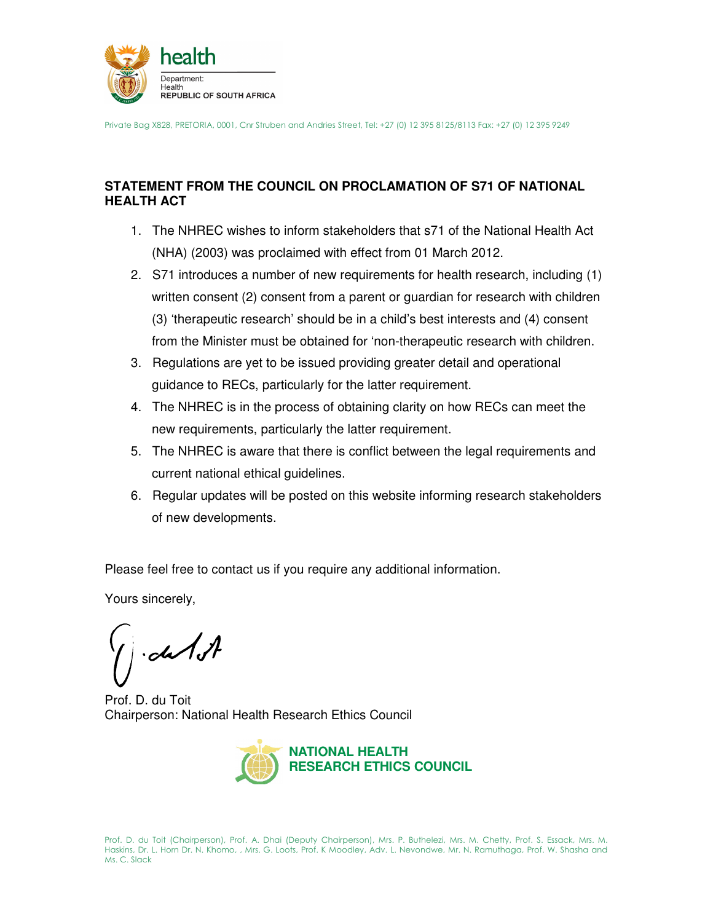

Private Bag X828, PRETORIA, 0001, Cnr Struben and Andries Street, Tel: +27 (0) 12 395 8125/8113 Fax: +27 (0) 12 395 9249

## **STATEMENT FROM THE COUNCIL ON PROCLAMATION OF S71 OF NATIONAL HEALTH ACT**

- 1. The NHREC wishes to inform stakeholders that s71 of the National Health Act (NHA) (2003) was proclaimed with effect from 01 March 2012.
- 2. S71 introduces a number of new requirements for health research, including (1) written consent (2) consent from a parent or guardian for research with children (3) 'therapeutic research' should be in a child's best interests and (4) consent from the Minister must be obtained for 'non-therapeutic research with children.
- 3. Regulations are yet to be issued providing greater detail and operational guidance to RECs, particularly for the latter requirement.
- 4. The NHREC is in the process of obtaining clarity on how RECs can meet the new requirements, particularly the latter requirement.
- 5. The NHREC is aware that there is conflict between the legal requirements and current national ethical guidelines.
- 6. Regular updates will be posted on this website informing research stakeholders of new developments.

Please feel free to contact us if you require any additional information.

Yours sincerely,

 $-dA$ 

Prof. D. du Toit Chairperson: National Health Research Ethics Council



Prof. D. du Toit (Chairperson), Prof. A. Dhai (Deputy Chairperson), Mrs. P. Buthelezi, Mrs. M. Chetty, Prof. S. Essack, Mrs. M. Haskins, Dr. L. Horn Dr. N. Khomo, , Mrs. G. Loots, Prof. K Moodley, Adv. L. Nevondwe, Mr. N. Ramuthaga, Prof. W. Shasha and Ms. C. Slack